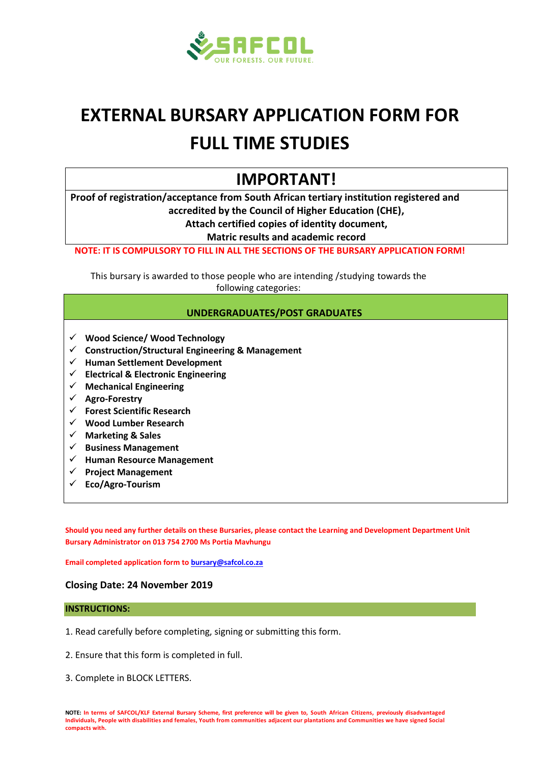

# **EXTERNAL BURSARY APPLICATION FORM FOR FULL TIME STUDIES**

# **IMPORTANT!**

**Proof of registration/acceptance from South African tertiary institution registered and accredited by the Council of Higher Education (CHE),**

**Attach certified copies of identity document,**

**Matric results and academic record**

**NOTE: IT IS COMPULSORY TO FILL IN ALL THE SECTIONS OF THE BURSARY APPLICATION FORM!**

This bursary is awarded to those people who are intending /studying towards the following categories:

#### **UNDERGRADUATES/POST GRADUATES**

- **Wood Science/ Wood Technology**
- **Construction/Structural Engineering & Management**
- **Human Settlement Development**
- **Electrical & Electronic Engineering**
- **Mechanical Engineering**
- **Agro-Forestry**
- **Forest Scientific Research**
- **Wood Lumber Research**
- **Marketing & Sales**
- **Business Management**
- **Human Resource Management**
- **Project Management**
- **Eco/Agro-Tourism**

**Should you need any further details on these Bursaries, please contact the Learning and Development Department Unit Bursary Administrator on 013 754 2700 Ms Portia Mavhungu**

**Email completed application form t[o bursary@safcol.co.za](mailto:bursary@safcol.co.za)**

#### **Closing Date: 24 November 2019**

#### **INSTRUCTIONS:**

- 1. Read carefully before completing, signing or submitting this form.
- 2. Ensure that this form is completed in full.
- 3. Complete in BLOCK LETTERS.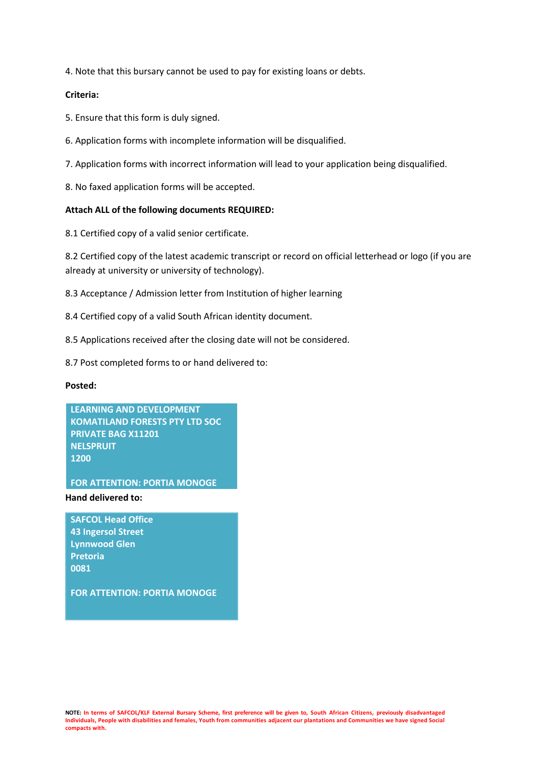4. Note that this bursary cannot be used to pay for existing loans or debts.

#### **Criteria:**

- 5. Ensure that this form is duly signed.
- 6. Application forms with incomplete information will be disqualified.
- 7. Application forms with incorrect information will lead to your application being disqualified.
- 8. No faxed application forms will be accepted.

#### **Attach ALL of the following documents REQUIRED:**

8.1 Certified copy of a valid senior certificate.

8.2 Certified copy of the latest academic transcript or record on official letterhead or logo (if you are already at university or university of technology).

- 8.3 Acceptance / Admission letter from Institution of higher learning
- 8.4 Certified copy of a valid South African identity document.
- 8.5 Applications received after the closing date will not be considered.
- 8.7 Post completed forms to or hand delivered to:

#### **Posted:**

**LEARNING AND DEVELOPMENT KOMATILAND FORESTS PTY LTD SOC PRIVATE BAG X11201 NELSPRUIT 1200**

**FOR ATTENTION: PORTIA MONOGE**

#### **Hand delivered to:**

**SAFCOL Head Office 43 Ingersol Street Lynnwood Glen Pretoria 0081**

**FOR ATTENTION: PORTIA MONOGE**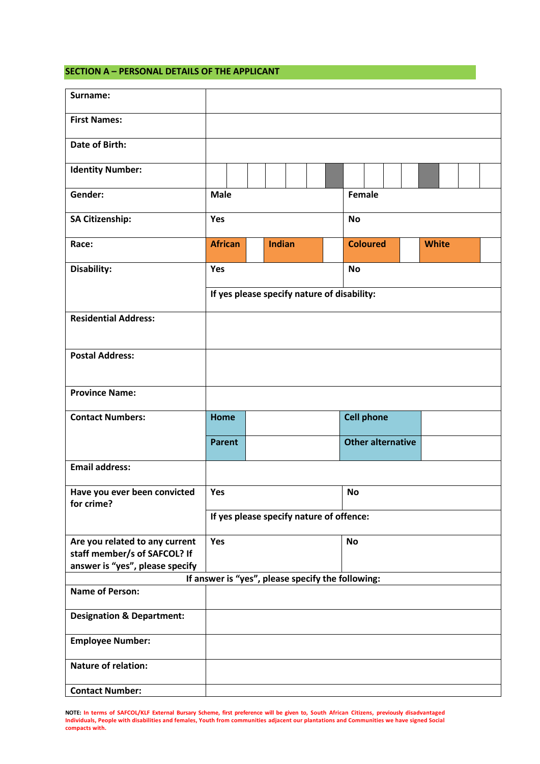#### **SECTION A – PERSONAL DETAILS OF THE APPLICANT**

| Surname:                                                       |                                                   |  |  |               |                                             |  |                          |                 |  |              |  |  |
|----------------------------------------------------------------|---------------------------------------------------|--|--|---------------|---------------------------------------------|--|--------------------------|-----------------|--|--------------|--|--|
| <b>First Names:</b>                                            |                                                   |  |  |               |                                             |  |                          |                 |  |              |  |  |
| Date of Birth:                                                 |                                                   |  |  |               |                                             |  |                          |                 |  |              |  |  |
| <b>Identity Number:</b>                                        |                                                   |  |  |               |                                             |  |                          |                 |  |              |  |  |
| Gender:                                                        | <b>Male</b>                                       |  |  |               |                                             |  | Female                   |                 |  |              |  |  |
| <b>SA Citizenship:</b>                                         | Yes                                               |  |  |               | <b>No</b>                                   |  |                          |                 |  |              |  |  |
| Race:                                                          | <b>African</b>                                    |  |  | <b>Indian</b> |                                             |  |                          | <b>Coloured</b> |  | <b>White</b> |  |  |
| Disability:                                                    | Yes                                               |  |  |               |                                             |  | <b>No</b>                |                 |  |              |  |  |
|                                                                |                                                   |  |  |               | If yes please specify nature of disability: |  |                          |                 |  |              |  |  |
| <b>Residential Address:</b>                                    |                                                   |  |  |               |                                             |  |                          |                 |  |              |  |  |
| <b>Postal Address:</b>                                         |                                                   |  |  |               |                                             |  |                          |                 |  |              |  |  |
|                                                                |                                                   |  |  |               |                                             |  |                          |                 |  |              |  |  |
| <b>Province Name:</b>                                          |                                                   |  |  |               |                                             |  |                          |                 |  |              |  |  |
| <b>Contact Numbers:</b>                                        | <b>Home</b>                                       |  |  |               |                                             |  | <b>Cell phone</b>        |                 |  |              |  |  |
|                                                                | <b>Parent</b>                                     |  |  |               |                                             |  | <b>Other alternative</b> |                 |  |              |  |  |
| <b>Email address:</b>                                          |                                                   |  |  |               |                                             |  |                          |                 |  |              |  |  |
| Have you ever been convicted<br>for crime?                     | Yes                                               |  |  |               |                                             |  | No                       |                 |  |              |  |  |
|                                                                |                                                   |  |  |               | If yes please specify nature of offence:    |  |                          |                 |  |              |  |  |
| Are you related to any current<br>staff member/s of SAFCOL? If | Yes                                               |  |  |               |                                             |  | <b>No</b>                |                 |  |              |  |  |
| answer is "yes", please specify                                |                                                   |  |  |               |                                             |  |                          |                 |  |              |  |  |
|                                                                | If answer is "yes", please specify the following: |  |  |               |                                             |  |                          |                 |  |              |  |  |
| <b>Name of Person:</b>                                         |                                                   |  |  |               |                                             |  |                          |                 |  |              |  |  |
| <b>Designation &amp; Department:</b>                           |                                                   |  |  |               |                                             |  |                          |                 |  |              |  |  |
| <b>Employee Number:</b>                                        |                                                   |  |  |               |                                             |  |                          |                 |  |              |  |  |
| <b>Nature of relation:</b>                                     |                                                   |  |  |               |                                             |  |                          |                 |  |              |  |  |
| <b>Contact Number:</b>                                         |                                                   |  |  |               |                                             |  |                          |                 |  |              |  |  |

**NOTE: In terms of SAFCOL/KLF External Bursary Scheme, first preference will be given to, South African Citizens, previously disadvantaged Individuals, People with disabilities and females, Youth from communities adjacent our plantations and Communities we have signed Social compacts with.**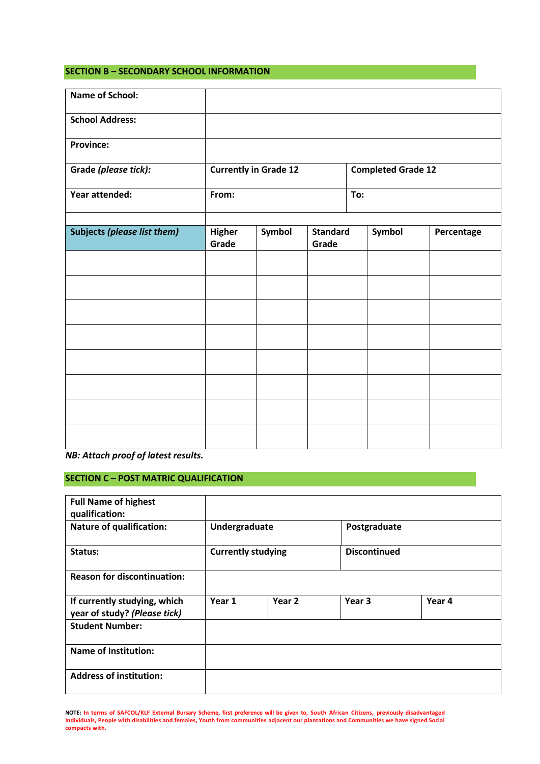#### **SECTION B – SECONDARY SCHOOL INFORMATION**

| <b>Name of School:</b>             |                        |                              |                          |                           |            |
|------------------------------------|------------------------|------------------------------|--------------------------|---------------------------|------------|
| <b>School Address:</b>             |                        |                              |                          |                           |            |
| <b>Province:</b>                   |                        |                              |                          |                           |            |
| Grade (please tick):               |                        | <b>Currently in Grade 12</b> |                          | <b>Completed Grade 12</b> |            |
| Year attended:                     | From:                  |                              |                          | To:                       |            |
| <b>Subjects (please list them)</b> | <b>Higher</b><br>Grade | Symbol                       | <b>Standard</b><br>Grade | Symbol                    | Percentage |
|                                    |                        |                              |                          |                           |            |
|                                    |                        |                              |                          |                           |            |
|                                    |                        |                              |                          |                           |            |
|                                    |                        |                              |                          |                           |            |
|                                    |                        |                              |                          |                           |            |
|                                    |                        |                              |                          |                           |            |
|                                    |                        |                              |                          |                           |            |
|                                    |                        |                              |                          |                           |            |

*NB: Attach proof of latest results.*

## **SECTION C – POST MATRIC QUALIFICATION**

| <b>Full Name of highest</b><br>qualification:                |                           |        |                     |        |  |
|--------------------------------------------------------------|---------------------------|--------|---------------------|--------|--|
| <b>Nature of qualification:</b>                              | Undergraduate             |        | Postgraduate        |        |  |
| Status:                                                      | <b>Currently studying</b> |        | <b>Discontinued</b> |        |  |
| <b>Reason for discontinuation:</b>                           |                           |        |                     |        |  |
| If currently studying, which<br>year of study? (Please tick) | Year 1                    | Year 2 | Year <sub>3</sub>   | Year 4 |  |
| <b>Student Number:</b>                                       |                           |        |                     |        |  |
| <b>Name of Institution:</b>                                  |                           |        |                     |        |  |
| <b>Address of institution:</b>                               |                           |        |                     |        |  |

**NOTE: In terms of SAFCOL/KLF External Bursary Scheme, first preference will be given to, South African Citizens, previously disadvantaged Individuals, People with disabilities and females, Youth from communities adjacent our plantations and Communities we have signed Social compacts with.**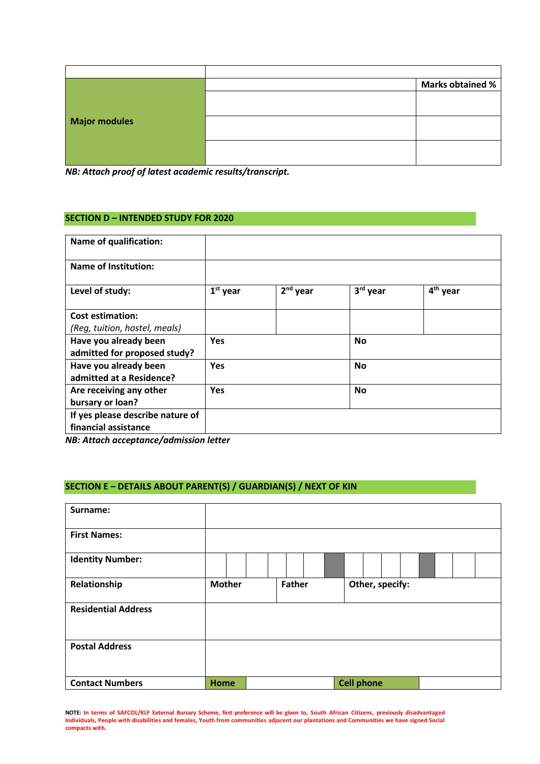| <b>Major modules</b> | <b>Marks obtained %</b> |
|----------------------|-------------------------|
|                      |                         |
|                      |                         |
|                      |                         |
|                      |                         |
|                      |                         |
|                      |                         |

*NB: Attach proof of latest academic results/transcript.*

#### **SECTION D – INTENDED STUDY FOR 2020**

| <b>Name of qualification:</b>    |            |                      |           |                      |
|----------------------------------|------------|----------------------|-----------|----------------------|
| <b>Name of Institution:</b>      |            |                      |           |                      |
| Level of study:                  | $1st$ year | 2 <sup>nd</sup> year | 3rd year  | 4 <sup>th</sup> year |
| <b>Cost estimation:</b>          |            |                      |           |                      |
| (Reg, tuition, hostel, meals)    |            |                      |           |                      |
| Have you already been            | <b>Yes</b> |                      | <b>No</b> |                      |
| admitted for proposed study?     |            |                      |           |                      |
| Have you already been            | <b>Yes</b> |                      | <b>No</b> |                      |
| admitted at a Residence?         |            |                      |           |                      |
| Are receiving any other          | <b>Yes</b> |                      | <b>No</b> |                      |
| bursary or loan?                 |            |                      |           |                      |
| If yes please describe nature of |            |                      |           |                      |
| financial assistance             |            |                      |           |                      |

*NB: Attach acceptance/admission letter*

### **SECTION E – DETAILS ABOUT PARENT(S) / GUARDIAN(S) / NEXT OF KIN**

| Surname:                   |               |               |                   |  |
|----------------------------|---------------|---------------|-------------------|--|
| <b>First Names:</b>        |               |               |                   |  |
| <b>Identity Number:</b>    |               |               |                   |  |
| Relationship               | <b>Mother</b> | <b>Father</b> | Other, specify:   |  |
| <b>Residential Address</b> |               |               |                   |  |
| <b>Postal Address</b>      |               |               |                   |  |
| <b>Contact Numbers</b>     | Home          |               | <b>Cell phone</b> |  |

**NOTE: In terms of SAFCOL/KLF External Bursary Scheme, first preference will be given to, South African Citizens, previously disadvantaged Individuals, People with disabilities and females, Youth from communities adjacent our plantations and Communities we have signed Social compacts with.**